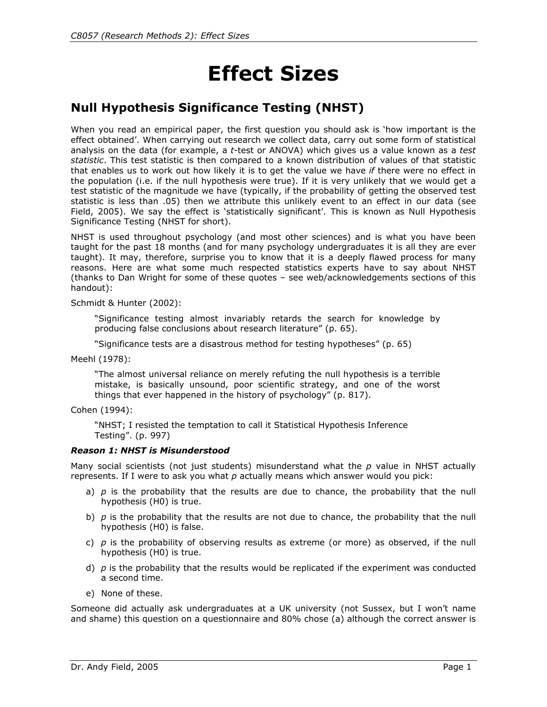# **Effect Sizes**

# **Null Hypothesis Significance Testing (NHST)**

When you read an empirical paper, the first question you should ask is 'how important is the effect obtained'. When carrying out research we collect data, carry out some form of statistical analysis on the data (for example, a *t*-test or ANOVA) which gives us a value known as a *test statistic*. This test statistic is then compared to a known distribution of values of that statistic that enables us to work out how likely it is to get the value we have *if* there were no effect in the population (i.e. if the null hypothesis were true). If it is very unlikely that we would get a test statistic of the magnitude we have (typically, if the probability of getting the observed test statistic is less than .05) then we attribute this unlikely event to an effect in our data (see Field, 2005). We say the effect is 'statistically significant'. This is known as Null Hypothesis Significance Testing (NHST for short).

NHST is used throughout psychology (and most other sciences) and is what you have been taught for the past 18 months (and for many psychology undergraduates it is all they are ever taught). It may, therefore, surprise you to know that it is a deeply flawed process for many reasons. Here are what some much respected statistics experts have to say about NHST (thanks to Dan Wright for some of these quotes – see web/acknowledgements sections of this handout):

Schmidt & Hunter (2002):

"Significance testing almost invariably retards the search for knowledge by producing false conclusions about research literature" (p. 65).

"Significance tests are a disastrous method for testing hypotheses" (p. 65)

Meehl (1978):

"The almost universal reliance on merely refuting the null hypothesis is a terrible mistake, is basically unsound, poor scientific strategy, and one of the worst things that ever happened in the history of psychology" (p. 817).

Cohen (1994):

"NHST; I resisted the temptation to call it Statistical Hypothesis Inference Testing". (p. 997)

#### *Reason 1: NHST is Misunderstood*

Many social scientists (not just students) misunderstand what the *p* value in NHST actually represents. If I were to ask you what *p* actually means which answer would you pick:

- a) *p* is the probability that the results are due to chance, the probability that the null hypothesis (H0) is true.
- b) *p* is the probability that the results are not due to chance, the probability that the null hypothesis (H0) is false.
- c) *p* is the probability of observing results as extreme (or more) as observed, if the null hypothesis (H0) is true.
- d) *p* is the probability that the results would be replicated if the experiment was conducted a second time.
- e) None of these.

Someone did actually ask undergraduates at a UK university (not Sussex, but I won't name and shame) this question on a questionnaire and 80% chose (a) although the correct answer is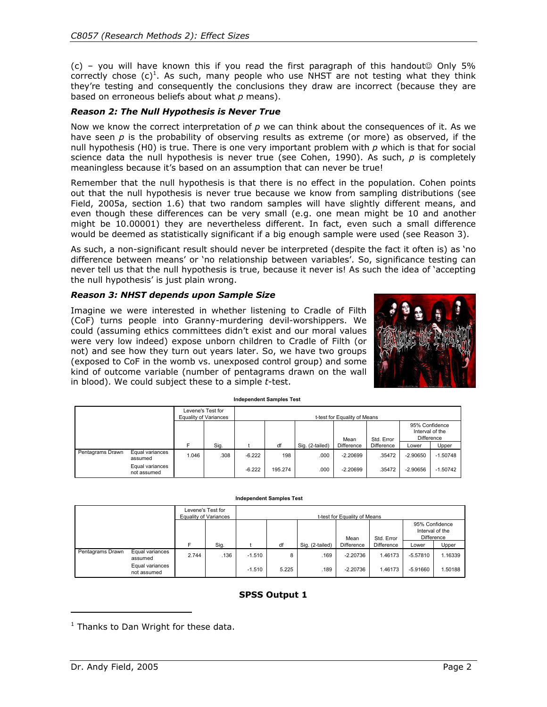(c) – you will have known this if you read the first paragraph of this handout $\circ$  Only 5% correctly chose  $(c)^1$ . As such, many people who use NHST are not testing what they think they're testing and consequently the conclusions they draw are incorrect (because they are based on erroneous beliefs about what *p* means).

#### *Reason 2: The Null Hypothesis is Never True*

Now we know the correct interpretation of *p* we can think about the consequences of it. As we have seen *p* is the probability of observing results as extreme (or more) as observed, if the null hypothesis (H0) is true. There is one very important problem with *p* which is that for social science data the null hypothesis is never true (see Cohen, 1990). As such, *p* is completely meaningless because it's based on an assumption that can never be true!

Remember that the null hypothesis is that there is no effect in the population. Cohen points out that the null hypothesis is never true because we know from sampling distributions (see Field, 2005a, section 1.6) that two random samples will have slightly different means, and even though these differences can be very small (e.g. one mean might be 10 and another might be 10.00001) they are nevertheless different. In fact, even such a small difference would be deemed as statistically significant if a big enough sample were used (see Reason 3).

As such, a non-significant result should never be interpreted (despite the fact it often is) as 'no difference between means' or 'no relationship between variables'. So, significance testing can never tell us that the null hypothesis is true, because it never is! As such the idea of 'accepting the null hypothesis' is just plain wrong.

#### *Reason 3: NHST depends upon Sample Size*

Imagine we were interested in whether listening to Cradle of Filth (CoF) turns people into Granny-murdering devil-worshippers. We could (assuming ethics committees didn't exist and our moral values were very low indeed) expose unborn children to Cradle of Filth (or not) and see how they turn out years later. So, we have two groups (exposed to CoF in the womb vs. unexposed control group) and some kind of outcome variable (number of pentagrams drawn on the wall in blood). We could subject these to a simple *t*-test.



| <b>Independent Samples Test</b> |                                                              |                       |                   |                              |                |                 |                          |                          |                                                                 |                          |  |
|---------------------------------|--------------------------------------------------------------|-----------------------|-------------------|------------------------------|----------------|-----------------|--------------------------|--------------------------|-----------------------------------------------------------------|--------------------------|--|
|                                 |                                                              | Equality of Variances | Levene's Test for | t-test for Equality of Means |                |                 |                          |                          |                                                                 |                          |  |
|                                 |                                                              | E                     | Sig.              |                              | df             | Sig. (2-tailed) | Mean<br>Difference       | Std. Error<br>Difference | 95% Confidence<br>Interval of the<br><b>Difference</b><br>Lower | Upper                    |  |
| Pentagrams Drawn                | Equal variances<br>assumed<br>Equal variances<br>not assumed | 1.046                 | .308              | $-6.222$<br>$-6.222$         | 198<br>195.274 | .000<br>.000    | $-2.20699$<br>$-2.20699$ | .35472<br>.35472         | $-2.90650$<br>$-2.90656$                                        | $-1.50748$<br>$-1.50742$ |  |

#### **Independent Samples Test**

|                  |                                | Levene's Test for<br><b>Equality of Variances</b> |      | t-test for Equality of Means |       |                 |            |            |                                                 |         |  |
|------------------|--------------------------------|---------------------------------------------------|------|------------------------------|-------|-----------------|------------|------------|-------------------------------------------------|---------|--|
|                  |                                |                                                   |      |                              |       |                 | Mean       | Std. Error | 95% Confidence<br>Interval of the<br>Difference |         |  |
|                  |                                |                                                   | Sig. |                              | df    | Sig. (2-tailed) | Difference | Difference | Lower                                           | Upper   |  |
| Pentagrams Drawn | Equal variances<br>assumed     | 2.744                                             | .136 | $-1.510$                     | 8     | .169            | $-2.20736$ | 1.46173    | $-5.57810$                                      | 1.16339 |  |
|                  | Equal variances<br>not assumed |                                                   |      | $-1.510$                     | 5.225 | .189            | $-2.20736$ | 1.46173    | $-5.91660$                                      | .50188  |  |

#### **SPSS Output 1**

j

<sup>&</sup>lt;sup>1</sup> Thanks to Dan Wright for these data.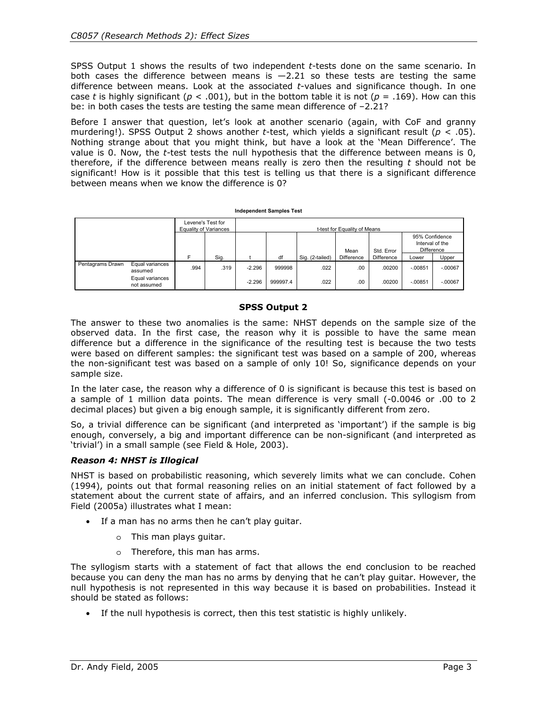SPSS Output 1 shows the results of two independent *t*-tests done on the same scenario. In both cases the difference between means is  $-2.21$  so these tests are testing the same difference between means. Look at the associated *t*-values and significance though. In one case *t* is highly significant ( $p < .001$ ), but in the bottom table it is not ( $p = .169$ ). How can this be: in both cases the tests are testing the same mean difference of -2.21?

Before I answer that question, let's look at another scenario (again, with CoF and granny murdering!). SPSS Output 2 shows another *t*-test, which yields a significant result (*p* < .05). Nothing strange about that you might think, but have a look at the 'Mean Difference'. The value is 0. Now, the *t-*test tests the null hypothesis that the difference between means is 0, therefore, if the difference between means really is zero then the resulting *t* should not be significant! How is it possible that this test is telling us that there is a significant difference between means when we know the difference is 0?

| <b>Independent Samples Test</b> |                                                              |                                            |      |                              |                    |                 |                    |                          |                                                          |                        |  |
|---------------------------------|--------------------------------------------------------------|--------------------------------------------|------|------------------------------|--------------------|-----------------|--------------------|--------------------------|----------------------------------------------------------|------------------------|--|
|                                 |                                                              | Levene's Test for<br>Equality of Variances |      | t-test for Equality of Means |                    |                 |                    |                          |                                                          |                        |  |
|                                 |                                                              |                                            | Sig. |                              | df                 | Sig. (2-tailed) | Mean<br>Difference | Std. Error<br>Difference | 95% Confidence<br>Interval of the<br>Difference<br>Lower | Upper                  |  |
| Pentagrams Drawn                | Equal variances<br>assumed<br>Equal variances<br>not assumed | .994                                       | .319 | $-2.296$<br>$-2.296$         | 999998<br>999997.4 | .022<br>.022    | .00<br>.00         | .00200<br>.00200         | $-.00851$<br>$-.00851$                                   | $-.00067$<br>$-.00067$ |  |

#### **SPSS Output 2**

The answer to these two anomalies is the same: NHST depends on the sample size of the observed data. In the first case, the reason why it is possible to have the same mean difference but a difference in the significance of the resulting test is because the two tests were based on different samples: the significant test was based on a sample of 200, whereas the non-significant test was based on a sample of only 10! So, significance depends on your sample size.

In the later case, the reason why a difference of 0 is significant is because this test is based on a sample of 1 million data points. The mean difference is very small (-0.0046 or .00 to 2 decimal places) but given a big enough sample, it is significantly different from zero.

So, a trivial difference can be significant (and interpreted as 'important') if the sample is big enough, conversely, a big and important difference can be non-significant (and interpreted as 'trivial') in a small sample (see Field & Hole, 2003).

#### *Reason 4: NHST is Illogical*

NHST is based on probabilistic reasoning, which severely limits what we can conclude. Cohen (1994), points out that formal reasoning relies on an initial statement of fact followed by a statement about the current state of affairs, and an inferred conclusion. This syllogism from Field (2005a) illustrates what I mean:

- If a man has no arms then he can't play quitar.
	- o This man plays guitar.
	- o Therefore, this man has arms.

The syllogism starts with a statement of fact that allows the end conclusion to be reached because you can deny the man has no arms by denying that he can't play guitar. However, the null hypothesis is not represented in this way because it is based on probabilities. Instead it should be stated as follows:

• If the null hypothesis is correct, then this test statistic is highly unlikely.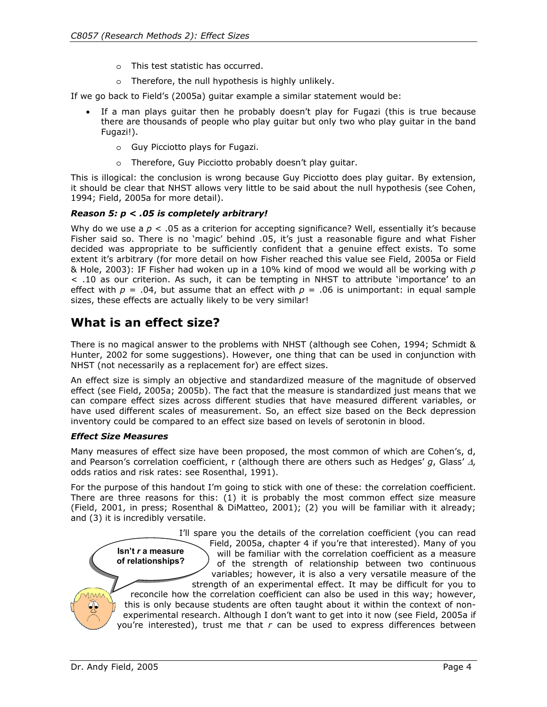- o This test statistic has occurred.
- o Therefore, the null hypothesis is highly unlikely.

If we go back to Field's (2005a) guitar example a similar statement would be:

- If a man plays quitar then he probably doesn't play for Fugazi (this is true because there are thousands of people who play guitar but only two who play guitar in the band Fugazi!).
	- o Guy Picciotto plays for Fugazi.
	- o Therefore, Guy Picciotto probably doesn't play guitar.

This is illogical: the conclusion is wrong because Guy Picciotto does play guitar. By extension, it should be clear that NHST allows very little to be said about the null hypothesis (see Cohen, 1994; Field, 2005a for more detail).

#### *Reason 5: p < .05 is completely arbitrary!*

Why do we use a  $p < 0.05$  as a criterion for accepting significance? Well, essentially it's because Fisher said so. There is no 'magic' behind .05, it's just a reasonable figure and what Fisher decided was appropriate to be sufficiently confident that a genuine effect exists. To some extent it's arbitrary (for more detail on how Fisher reached this value see Field, 2005a or Field & Hole, 2003): IF Fisher had woken up in a 10% kind of mood we would all be working with *p* < .10 as our criterion. As such, it can be tempting in NHST to attribute 'importance' to an effect with  $p = .04$ , but assume that an effect with  $p = .06$  is unimportant: in equal sample sizes, these effects are actually likely to be very similar!

## **What is an effect size?**

There is no magical answer to the problems with NHST (although see Cohen, 1994; Schmidt & Hunter, 2002 for some suggestions). However, one thing that can be used in conjunction with NHST (not necessarily as a replacement for) are effect sizes.

An effect size is simply an objective and standardized measure of the magnitude of observed effect (see Field, 2005a; 2005b). The fact that the measure is standardized just means that we can compare effect sizes across different studies that have measured different variables, or have used different scales of measurement. So, an effect size based on the Beck depression inventory could be compared to an effect size based on levels of serotonin in blood.

#### *Effect Size Measures*

Many measures of effect size have been proposed, the most common of which are Cohen's, d, and Pearson's correlation coefficient, r (although there are others such as Hedges' *g*, Glass' ∆, odds ratios and risk rates: see Rosenthal, 1991).

For the purpose of this handout I'm going to stick with one of these: the correlation coefficient. There are three reasons for this: (1) it is probably the most common effect size measure (Field, 2001, in press; Rosenthal & DiMatteo, 2001); (2) you will be familiar with it already; and (3) it is incredibly versatile.

> **Isn't** *r* **a measure of relationships?**  I'll spare you the details of the correlation coefficient (you can read Field, 2005a, chapter 4 if you're that interested). Many of you will be familiar with the correlation coefficient as a measure of the strength of relationship between two continuous variables; however, it is also a very versatile measure of the strength of an experimental effect. It may be difficult for you to reconcile how the correlation coefficient can also be used in this way; however, this is only because students are often taught about it within the context of nonexperimental research. Although I don't want to get into it now (see Field, 2005a if you're interested), trust me that *r* can be used to express differences between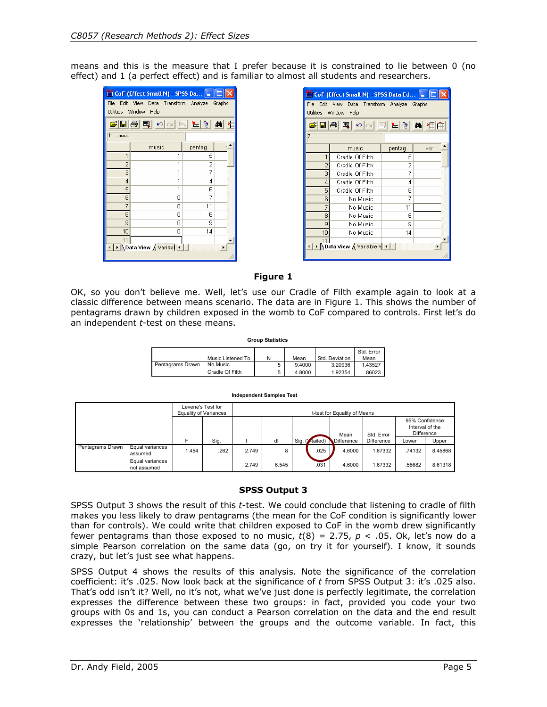means and this is the measure that I prefer because it is constrained to lie between 0 (no effect) and 1 (a perfect effect) and is familiar to almost all students and researchers.

| <b>ED</b> CoF (Effect Small N) - SPSS Da   _    □                                                                                                                             |                      |        |  |  |  |  |  |  |  |
|-------------------------------------------------------------------------------------------------------------------------------------------------------------------------------|----------------------|--------|--|--|--|--|--|--|--|
| File Edit View Data Transform Analyze Graphs<br>Utilities Window Help                                                                                                         |                      |        |  |  |  |  |  |  |  |
|                                                                                                                                                                               |                      |        |  |  |  |  |  |  |  |
| $\mathcal{B}[\blacksquare \clubsuit]\blacksquare \hspace{1.5mm}\smallcirc \hspace{1.5mm} \blacksquare \blacksquare \blacksquare \blacksquare \blacksquare \blacksquare $<br>м |                      |        |  |  |  |  |  |  |  |
| 11 : music                                                                                                                                                                    |                      |        |  |  |  |  |  |  |  |
|                                                                                                                                                                               | music                | pentag |  |  |  |  |  |  |  |
| 1                                                                                                                                                                             | 1                    | 5      |  |  |  |  |  |  |  |
| 2                                                                                                                                                                             | 1                    | 2      |  |  |  |  |  |  |  |
| 3                                                                                                                                                                             | 1                    | 7      |  |  |  |  |  |  |  |
| 4                                                                                                                                                                             | 1                    | 4      |  |  |  |  |  |  |  |
| 5                                                                                                                                                                             | 1                    | 6      |  |  |  |  |  |  |  |
| 6                                                                                                                                                                             | 0                    | 7      |  |  |  |  |  |  |  |
| 7                                                                                                                                                                             | ٥                    | 11     |  |  |  |  |  |  |  |
| 8                                                                                                                                                                             | 0                    | 6      |  |  |  |  |  |  |  |
| 9                                                                                                                                                                             | 0                    | 9      |  |  |  |  |  |  |  |
| 10                                                                                                                                                                            | 0                    | 14     |  |  |  |  |  |  |  |
| 11                                                                                                                                                                            |                      |        |  |  |  |  |  |  |  |
|                                                                                                                                                                               | Data View A Variable |        |  |  |  |  |  |  |  |
|                                                                                                                                                                               |                      |        |  |  |  |  |  |  |  |

| <mark>菌 CoF (Effect Small N) - SPSS Data Ed…[_</mark>   □  ×          |                                                                                                                                                                                                                                                                                                                                                     |        |     |  |  |  |  |  |
|-----------------------------------------------------------------------|-----------------------------------------------------------------------------------------------------------------------------------------------------------------------------------------------------------------------------------------------------------------------------------------------------------------------------------------------------|--------|-----|--|--|--|--|--|
| File Edit View Data Transform Analyze Graphs<br>Utilities Window Help |                                                                                                                                                                                                                                                                                                                                                     |        |     |  |  |  |  |  |
|                                                                       | $\begin{picture}(150,10) \put(0,0){\line(1,0){10}} \put(15,0){\line(1,0){10}} \put(15,0){\line(1,0){10}} \put(15,0){\line(1,0){10}} \put(15,0){\line(1,0){10}} \put(15,0){\line(1,0){10}} \put(15,0){\line(1,0){10}} \put(15,0){\line(1,0){10}} \put(15,0){\line(1,0){10}} \put(15,0){\line(1,0){10}} \put(15,0){\line(1,0){10}} \put(15,0){\line($ |        |     |  |  |  |  |  |
|                                                                       |                                                                                                                                                                                                                                                                                                                                                     |        |     |  |  |  |  |  |
| 7:                                                                    |                                                                                                                                                                                                                                                                                                                                                     |        |     |  |  |  |  |  |
|                                                                       | music                                                                                                                                                                                                                                                                                                                                               | pentag | var |  |  |  |  |  |
| 1                                                                     | Cradle Of Filth                                                                                                                                                                                                                                                                                                                                     | 5      |     |  |  |  |  |  |
| 2                                                                     | Cradle Of Filth                                                                                                                                                                                                                                                                                                                                     | 2      |     |  |  |  |  |  |
| 3                                                                     | Cradle Of Filth                                                                                                                                                                                                                                                                                                                                     | 7      |     |  |  |  |  |  |
| 4                                                                     | Cradle Of Filth                                                                                                                                                                                                                                                                                                                                     | 4      |     |  |  |  |  |  |
| 5                                                                     | Cradle Of Filth                                                                                                                                                                                                                                                                                                                                     | 6      |     |  |  |  |  |  |
| 6                                                                     | No Music                                                                                                                                                                                                                                                                                                                                            | 7      |     |  |  |  |  |  |
| 7                                                                     | No Music                                                                                                                                                                                                                                                                                                                                            | 11     |     |  |  |  |  |  |
| 8                                                                     | No Music                                                                                                                                                                                                                                                                                                                                            | 6      |     |  |  |  |  |  |
| 9                                                                     | No Music                                                                                                                                                                                                                                                                                                                                            | 9      |     |  |  |  |  |  |
| 10                                                                    | No Music                                                                                                                                                                                                                                                                                                                                            | 14     |     |  |  |  |  |  |
| 11<br><b>∖Data View A</b> Variable V ◀                                |                                                                                                                                                                                                                                                                                                                                                     |        |     |  |  |  |  |  |
|                                                                       |                                                                                                                                                                                                                                                                                                                                                     |        |     |  |  |  |  |  |

#### **Figure 1**

OK, so you don't believe me. Well, let's use our Cradle of Filth example again to look at a classic difference between means scenario. The data are in Figure 1. This shows the number of pentagrams drawn by children exposed in the womb to CoF compared to controls. First let's do an independent *t*-test on these means.

**Group Statistics**

|                  | Music Listened To | N | Mean   | Std. Deviation | Std. Error<br>Mean |
|------------------|-------------------|---|--------|----------------|--------------------|
| Pentagrams Drawn | No Music          |   | 9.4000 | 3.20936        | 1.43527            |
|                  | Cradle Of Filth   |   | 4.8000 | 1.92354        | 86023              |

#### **Independent Samples Test**

|                  |                                | Levene's Test for<br><b>Equality of Variances</b> |      | t-test for Equality of Means |       |  |                 |                   |            |                                                 |         |
|------------------|--------------------------------|---------------------------------------------------|------|------------------------------|-------|--|-----------------|-------------------|------------|-------------------------------------------------|---------|
|                  |                                |                                                   |      |                              |       |  |                 | Mean              | Std. Error | 95% Confidence<br>Interval of the<br>Difference |         |
|                  |                                |                                                   | Sig. |                              | df    |  | Sig. (2-tailed) | <b>Difference</b> | Difference | Lower                                           | Upper   |
| Pentagrams Drawn | Equal variances<br>assumed     | 1.454                                             | .262 | 2.749                        | 8     |  | .025            | 4.6000            | 1.67332    | .74132                                          | 8.45868 |
|                  | Equal variances<br>not assumed |                                                   |      | 2.749                        | 6.545 |  | .031            | 4.6000            | 1.67332    | .58682                                          | 8.61318 |

#### **SPSS Output 3**

SPSS Output 3 shows the result of this *t*-test. We could conclude that listening to cradle of filth makes you less likely to draw pentagrams (the mean for the CoF condition is significantly lower than for controls). We could write that children exposed to CoF in the womb drew significantly fewer pentagrams than those exposed to no music,  $t(8) = 2.75$ ,  $p < .05$ . Ok, let's now do a simple Pearson correlation on the same data (go, on try it for yourself). I know, it sounds crazy, but let's just see what happens.

SPSS Output 4 shows the results of this analysis. Note the significance of the correlation coefficient: it's .025. Now look back at the significance of *t* from SPSS Output 3: it's .025 also. That's odd isn't it? Well, no it's not, what we've just done is perfectly legitimate, the correlation expresses the difference between these two groups: in fact, provided you code your two groups with 0s and 1s, you can conduct a Pearson correlation on the data and the end result expresses the 'relationship' between the groups and the outcome variable. In fact, this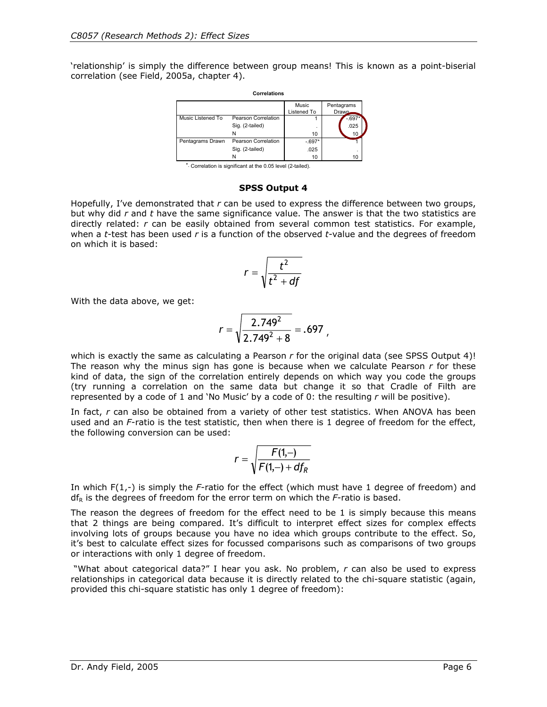'relationship' is simply the difference between group means! This is known as a point-biserial correlation (see Field, 2005a, chapter 4).

| Correlations      |                            |                      |                      |  |  |  |  |
|-------------------|----------------------------|----------------------|----------------------|--|--|--|--|
|                   |                            | Music<br>Listened To | Pentagrams<br>Drawn. |  |  |  |  |
| Music Listened To | <b>Pearson Correlation</b> |                      | -.697                |  |  |  |  |
|                   | Sig. (2-tailed)            |                      | .025                 |  |  |  |  |
|                   | Ν                          | 10                   | 10                   |  |  |  |  |
| Pentagrams Drawn  | Pearson Correlation        | $-.697*$             |                      |  |  |  |  |
|                   | Sig. (2-tailed)            | .025                 |                      |  |  |  |  |
|                   | Ν                          | 10                   | 10                   |  |  |  |  |

\*. Correlation is significant at the 0.05 level (2-tailed).

#### **SPSS Output 4**

Hopefully, I've demonstrated that *r* can be used to express the difference between two groups, but why did *r* and *t* have the same significance value. The answer is that the two statistics are directly related: *r* can be easily obtained from several common test statistics. For example, when a *t*-test has been used *r* is a function of the observed *t-*value and the degrees of freedom on which it is based:

$$
r=\sqrt{\frac{t^2}{t^2+df}}
$$

With the data above, we get:

$$
r = \sqrt{\frac{2.749^2}{2.749^2 + 8}} = .697,
$$

which is exactly the same as calculating a Pearson *r* for the original data (see SPSS Output 4)! The reason why the minus sign has gone is because when we calculate Pearson *r* for these kind of data, the sign of the correlation entirely depends on which way you code the groups (try running a correlation on the same data but change it so that Cradle of Filth are represented by a code of 1 and 'No Music' by a code of 0: the resulting *r* will be positive).

In fact, *r* can also be obtained from a variety of other test statistics. When ANOVA has been used and an *F*-ratio is the test statistic, then when there is 1 degree of freedom for the effect, the following conversion can be used:

$$
r = \sqrt{\frac{F(1,-)}{F(1,-) + df_R}}
$$

In which F(1,-) is simply the *F*-ratio for the effect (which must have 1 degree of freedom) and  $df_R$  is the degrees of freedom for the error term on which the  $F$ -ratio is based.

The reason the degrees of freedom for the effect need to be 1 is simply because this means that 2 things are being compared. It's difficult to interpret effect sizes for complex effects involving lots of groups because you have no idea which groups contribute to the effect. So, it's best to calculate effect sizes for focussed comparisons such as comparisons of two groups or interactions with only 1 degree of freedom.

 "What about categorical data?" I hear you ask. No problem, *r* can also be used to express relationships in categorical data because it is directly related to the chi-square statistic (again, provided this chi-square statistic has only 1 degree of freedom):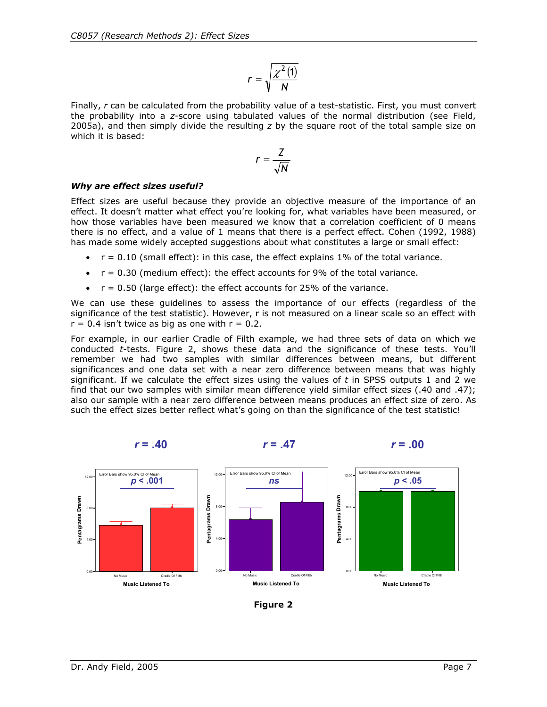$$
r=\sqrt{\frac{\chi^2(\mathbf{1})}{N}}
$$

Finally, *r* can be calculated from the probability value of a test-statistic. First, you must convert the probability into a *z*-score using tabulated values of the normal distribution (see Field, 2005a), and then simply divide the resulting *z* by the square root of the total sample size on which it is based:

$$
r=\frac{Z}{\sqrt{N}}
$$

#### *Why are effect sizes useful?*

Effect sizes are useful because they provide an objective measure of the importance of an effect. It doesn't matter what effect you're looking for, what variables have been measured, or how those variables have been measured we know that a correlation coefficient of 0 means there is no effect, and a value of 1 means that there is a perfect effect. Cohen (1992, 1988) has made some widely accepted suggestions about what constitutes a large or small effect:

- $r = 0.10$  (small effect): in this case, the effect explains 1% of the total variance.
- $r = 0.30$  (medium effect): the effect accounts for 9% of the total variance.
- $\bullet$   $r = 0.50$  (large effect): the effect accounts for 25% of the variance.

We can use these guidelines to assess the importance of our effects (regardless of the significance of the test statistic). However, r is not measured on a linear scale so an effect with  $r = 0.4$  isn't twice as big as one with  $r = 0.2$ .

For example, in our earlier Cradle of Filth example, we had three sets of data on which we conducted *t*-tests. Figure 2, shows these data and the significance of these tests. You'll remember we had two samples with similar differences between means, but different significances and one data set with a near zero difference between means that was highly significant. If we calculate the effect sizes using the values of *t* in SPSS outputs 1 and 2 we find that our two samples with similar mean difference yield similar effect sizes (.40 and .47); also our sample with a near zero difference between means produces an effect size of zero. As such the effect sizes better reflect what's going on than the significance of the test statistic!

*r* **= .40** *r* **= .47** *r* **= .00** 



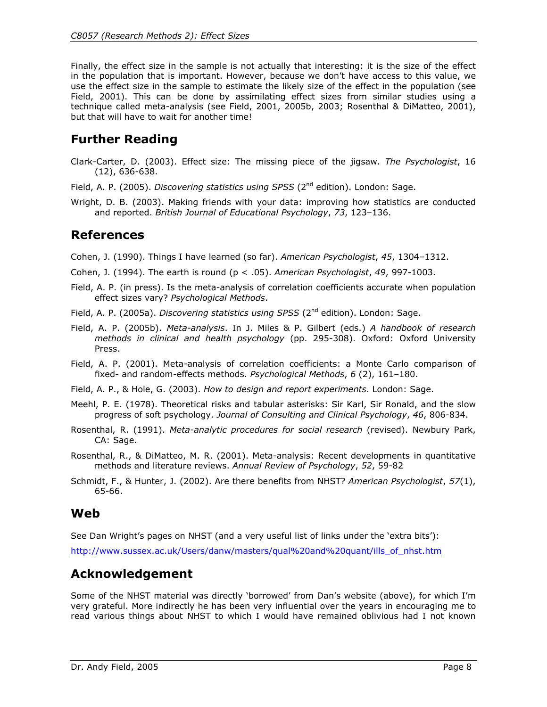Finally, the effect size in the sample is not actually that interesting: it is the size of the effect in the population that is important. However, because we don't have access to this value, we use the effect size in the sample to estimate the likely size of the effect in the population (see Field, 2001). This can be done by assimilating effect sizes from similar studies using a technique called meta-analysis (see Field, 2001, 2005b, 2003; Rosenthal & DiMatteo, 2001), but that will have to wait for another time!

# **Further Reading**

- Clark-Carter, D. (2003). Effect size: The missing piece of the jigsaw. *The Psychologist*, 16 (12), 636-638.
- Field, A. P. (2005). *Discovering statistics using SPSS* (2<sup>nd</sup> edition). London: Sage.
- Wright, D. B. (2003). Making friends with your data: improving how statistics are conducted and reported. *British Journal of Educational Psychology*, *73*, 123–136.

## **References**

Cohen, J. (1990). Things I have learned (so far). *American Psychologist*, *45*, 1304–1312.

- Cohen, J. (1994). The earth is round (p < .05). *American Psychologist*, *49*, 997-1003.
- Field, A. P. (in press). Is the meta-analysis of correlation coefficients accurate when population effect sizes vary? *Psychological Methods*.
- Field, A. P. (2005a). *Discovering statistics using SPSS* (2<sup>nd</sup> edition). London: Sage.
- Field, A. P. (2005b). *Meta-analysis*. In J. Miles & P. Gilbert (eds.) *A handbook of research methods in clinical and health psychology* (pp. 295-308). Oxford: Oxford University Press.
- Field, A. P. (2001). Meta-analysis of correlation coefficients: a Monte Carlo comparison of fixed- and random-effects methods. *Psychological Methods*, *6* (2), 161–180.
- Field, A. P., & Hole, G. (2003). *How to design and report experiments*. London: Sage.
- Meehl, P. E. (1978). Theoretical risks and tabular asterisks: Sir Karl, Sir Ronald, and the slow progress of soft psychology. *Journal of Consulting and Clinical Psychology*, *46*, 806-834.
- Rosenthal, R. (1991). *Meta-analytic procedures for social research* (revised). Newbury Park, CA: Sage.
- Rosenthal, R., & DiMatteo, M. R. (2001). Meta-analysis: Recent developments in quantitative methods and literature reviews. *Annual Review of Psychology*, *52*, 59-82
- Schmidt, F., & Hunter, J. (2002). Are there benefits from NHST? *American Psychologist*, *57*(1), 65-66.

## **Web**

See Dan Wright's pages on NHST (and a very useful list of links under the 'extra bits'):

http://www.sussex.ac.uk/Users/danw/masters/qual%20and%20quant/ills\_of\_nhst.htm

## **Acknowledgement**

Some of the NHST material was directly 'borrowed' from Dan's website (above), for which I'm very grateful. More indirectly he has been very influential over the years in encouraging me to read various things about NHST to which I would have remained oblivious had I not known